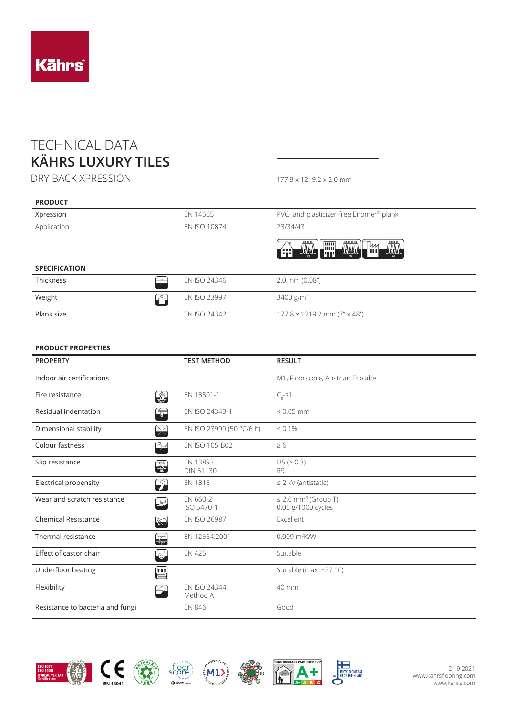## TECHNICAL DATA **KÄHRS LUXURY TILES**

DRY BACK XPRESSION

**PRODUCT**

| 177.8 x 1219.2 x 2.0 mm |
|-------------------------|

| Xpression                                       | EN 14565     | PVC- and plasticizer-free Enomer® plank                                                                 |
|-------------------------------------------------|--------------|---------------------------------------------------------------------------------------------------------|
| Application                                     | EN ISO 10874 | 23/34/43                                                                                                |
|                                                 |              | $\frac{\hat{\Pi}^{\text{max}}_{n}}{\prod_{n=1}^{N}}$<br><b>THE STATE</b><br><b>THE</b><br>冊<br>  m<br>Æ |
| <b>SPECIFICATION</b>                            |              |                                                                                                         |
| Thickness<br>$\sim$<br>$\overline{\phantom{1}}$ | EN ISO 24346 | $2.0$ mm $(0.08")$                                                                                      |
| Weight<br>້ຼ?⊾                                  | EN ISO 23997 | $3400$ g/m <sup>2</sup>                                                                                 |
| Plank size                                      | EN ISO 24342 | 177.8 x 1219.2 mm (7" x 48")                                                                            |

## **PRODUCT PROPERTIES**

| <b>PROPERTY</b>                  |                        | <b>TEST METHOD</b>           | <b>RESULT</b>                                              |
|----------------------------------|------------------------|------------------------------|------------------------------------------------------------|
| Indoor air certifications        |                        |                              | M1, Floorscore, Austrian Ecolabel                          |
| Fire resistance                  | $\frac{1}{\sqrt{2}}$   | EN 13501-1                   | $C_{\text{fl}}$ -s1                                        |
| Residual indentation             | Ģ                      | EN ISO 24343-1               | $< 0.05$ mm                                                |
| Dimensional stability            | ਿ⊼ ⊼<br>$K \times$     | EN ISO 23999 (50 °C/6 h)     | $< 0.1\%$                                                  |
| Colour fastness                  | $\mathbb{R}^2$         | EN ISO 105-B02               | $\geq 6$                                                   |
| Slip resistance                  | $\frac{1}{10}$         | EN 13893<br><b>DIN 51130</b> | DS (> 0.3)<br>R <sub>9</sub>                               |
| Electrical propensity            | $\mathcal{F}$          | EN 1815                      | $\leq$ 2 kV (antistatic)                                   |
| Wear and scratch resistance      |                        | EN 660-2<br>ISO 5470-1       | $\leq$ 2.0 mm <sup>3</sup> (Group T)<br>0.05 g/1000 cycles |
| <b>Chemical Resistance</b>       | $\gg$                  | EN ISO 26987                 | Excellent                                                  |
| Thermal resistance               | $\frac{1}{\sqrt{111}}$ | EN 12664:2001                | $0.009$ m <sup>2</sup> K/W                                 |
| Effect of castor chair           | $\mathbb{G}^1$         | <b>EN 425</b>                | Suitable                                                   |
| Underfloor heating               | Ë                      |                              | Suitable (max. +27 °C)                                     |
| Flexibility                      |                        | EN ISO 24344<br>Method A     | 40 mm                                                      |
| Resistance to bacteria and fungi |                        | <b>EN 846</b>                | Good                                                       |







score

 $\alpha$  and  $\alpha$